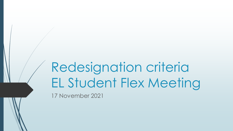# Redesignation criteria EL Student Flex Meeting

17 November 2021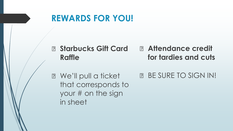### **REWARDS FOR YOU!**

#### **Starbucks Gift Card Raffle Attendance credit for tardies and cuts**

**B** We'll pull a ticket that corresponds to your # on the sign in sheet **BE SURE TO SIGN IN!**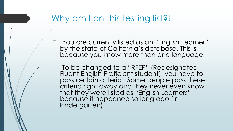### Why am I on this testing list?!

□ You are currently listed as an "English Learner" by the state of California's database. This is because you know more than one language.

□ To be changed to a "RFEP" (Redesignated Fluent English Proficient student), you have to pass certain criteria. Some people pass these criteria right away and they never even know that they were listed as "English Learners" because it happened so long ago (in kindergarten).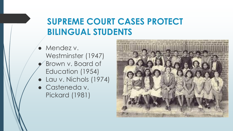### **SUPREME COURT CASES PROTECT BILINGUAL STUDENTS**

● Mendez v. Westminster (1947) Brown v. Board of Education (1954) ● Lau v. Nichols (1974)

● Casteneda v. Pickard (1981)

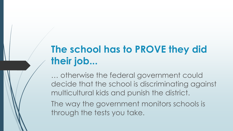# **The school has to PROVE they did their job...**

… otherwise the federal government could decide that the school is discriminating against multicultural kids and punish the district.

The way the government monitors schools is through the tests you take.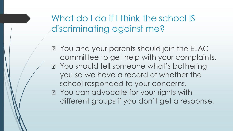What do I do if I think the school IS discriminating against me?

**P.** You and your parents should join the ELAC committee to get help with your complaints. **P** You should tell someone what's bothering you so we have a record of whether the school responded to your concerns. **P** You can advocate for your rights with different groups if you don't get a response.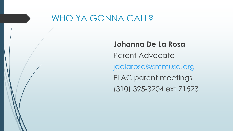#### WHO YA GONNA CALL?

#### **Johanna De La Rosa**

Parent Advocate

[jdelarosa@smmusd.org](mailto:jdelarosa@smmusd.org)

ELAC parent meetings (310) 395-3204 ext 71523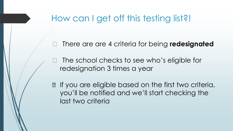### How can I get off this testing list?!

□ There are are 4 criteria for being **redesignated** 

 The school checks to see who's eligible for redesignation 3 times a year

**If you are eligible based on the first two criteria,** you'll be notified and we'll start checking the last two criteria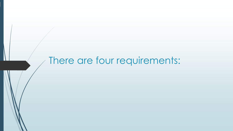# There are four requirements: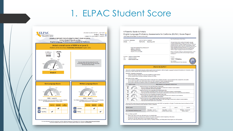#### 1. ELPAC Student Score



#### A Parent's Guide to Anita's

English Language Proficiency Assessments for California (ELPAC) Score Report CALIFORNIA DEPARTMENT OF EDUCATION (CDE)

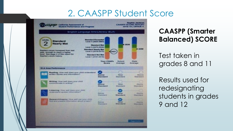### 2. CAASPP Student Score



**CAASPP (Smarter Balanced) SCORE**

Test taken in grades 8 and 11

Results used for redesignating students in grades 9 and 12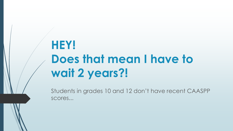# **HEY! Does that mean I have to wait 2 years?!**

Students in grades 10 and 12 don't have recent CAASPP scores...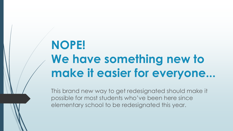# **NOPE! We have something new to make it easier for everyone...**

This brand new way to get redesignated should make it possible for most students who've been here since elementary school to be redesignated this year.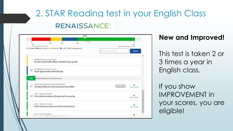# 2. STAR Reading test in your English Class**RENAISSANCE®**



#### **New and Improved!**

This test is taken 2 or 3 times a year in English class.

If you show IMPROVEMENT in your scores, you are eligible!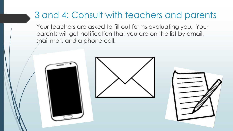### 3 and 4: Consult with teachers and parents

Your teachers are asked to fill out forms evaluating you. Your parents will get notification that you are on the list by email, snail mail, and a phone call.